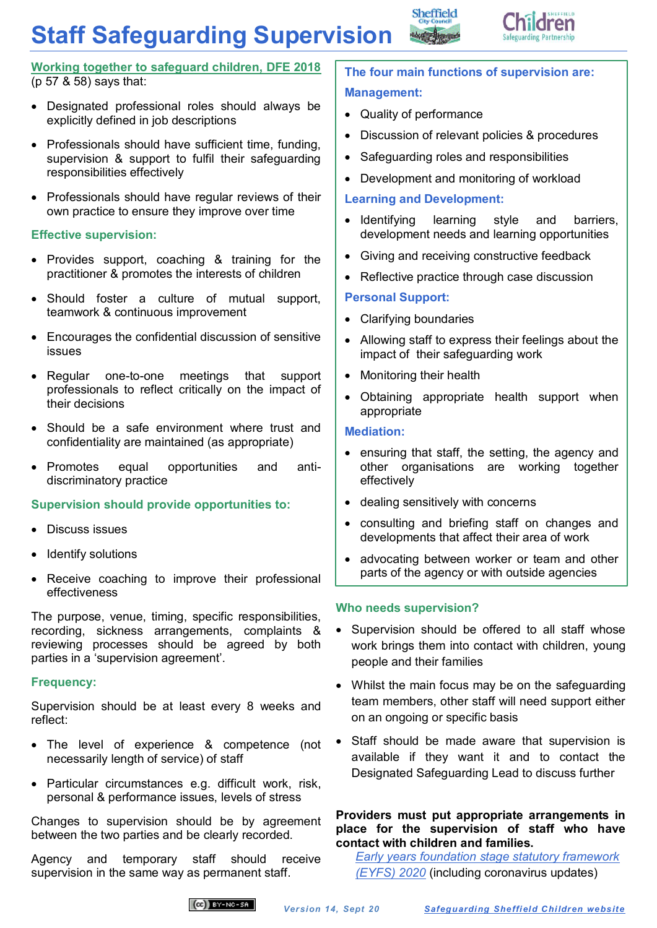# **Staff Safeguarding Supervision**



### **[Working together to safeguard children, DFE 2018](https://www.gov.uk/government/publications/working-together-to-safeguard-children--2)** (p 57 & 58) says that:

- Designated professional roles should always be explicitly defined in job descriptions
- Professionals should have sufficient time, funding, supervision & support to fulfil their safeguarding responsibilities effectively
- Professionals should have regular reviews of their own practice to ensure they improve over time

### **Effective supervision:**

- Provides support, coaching & training for the practitioner & promotes the interests of children
- Should foster a culture of mutual support, teamwork & continuous improvement
- Encourages the confidential discussion of sensitive issues
- Regular one-to-one meetings that support professionals to reflect critically on the impact of their decisions
- Should be a safe environment where trust and confidentiality are maintained (as appropriate)
- Promotes equal opportunities and antidiscriminatory practice

### **Supervision should provide opportunities to:**

- Discuss issues
- Identify solutions
- Receive coaching to improve their professional effectiveness

The purpose, venue, timing, specific responsibilities, recording, sickness arrangements, complaints & reviewing processes should be agreed by both parties in a 'supervision agreement'.

### **Frequency:**

Supervision should be at least every 8 weeks and reflect:

- The level of experience & competence (not necessarily length of service) of staff
- Particular circumstances e.g. difficult work, risk, personal & performance issues, levels of stress

Changes to supervision should be by agreement between the two parties and be clearly recorded.

Agency and temporary staff should receive supervision in the same way as permanent staff.

# **The four main functions of supervision are: Management:**

Quality of performance

Sheffield

- Discussion of relevant policies & procedures
- Safeguarding roles and responsibilities
- Development and monitoring of workload

### **Learning and Development:**

- Identifying learning style and barriers, development needs and learning opportunities
- Giving and receiving constructive feedback
- Reflective practice through case discussion

## **Personal Support:**

- Clarifying boundaries
- Allowing staff to express their feelings about the impact of their safeguarding work
- Monitoring their health
- Obtaining appropriate health support when appropriate

### **Mediation:**

- ensuring that staff, the setting, the agency and other organisations are working together effectively
- dealing sensitively with concerns
- consulting and briefing staff on changes and developments that affect their area of work
- advocating between worker or team and other parts of the agency or with outside agencies

### **Who needs supervision?**

- Supervision should be offered to all staff whose work brings them into contact with children, young people and their families
- Whilst the main focus may be on the safeguarding team members, other staff will need support either on an ongoing or specific basis
- Staff should be made aware that supervision is available if they want it and to contact the Designated Safeguarding Lead to discuss further

### **Providers must put appropriate arrangements in place for the supervision of staff who have contact with children and families.**

*[Early years foundation stage statutory framework](https://www.gov.uk/government/publications/early-years-foundation-stage-framework--2#history)  [\(EYFS\)](https://www.gov.uk/government/publications/early-years-foundation-stage-framework--2#history) 2020* (including coronavirus updates)